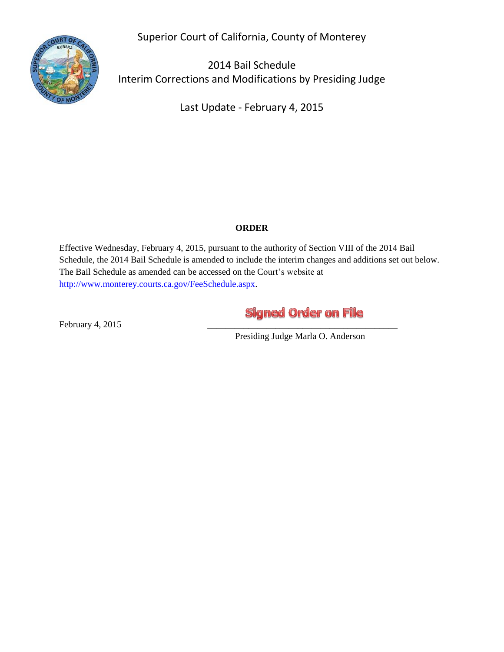Superior Court of California, County of Monterey



2014 Bail Schedule Interim Corrections and Modifications by Presiding Judge

Last Update - February 4, 2015

#### **ORDER**

Effective Wednesday, February 4, 2015, pursuant to the authority of Section VIII of the 2014 Bail Schedule, the 2014 Bail Schedule is amended to include the interim changes and additions set out below. The Bail Schedule as amended can be accessed on the Court's website at [http://www.monterey.courts.ca.gov/FeeSchedule.aspx.](http://www.monterey.courts.ca.gov/FeeSchedule.aspx)

# **Signed Order on File**

February  $4, 2015$ 

Presiding Judge Marla O. Anderson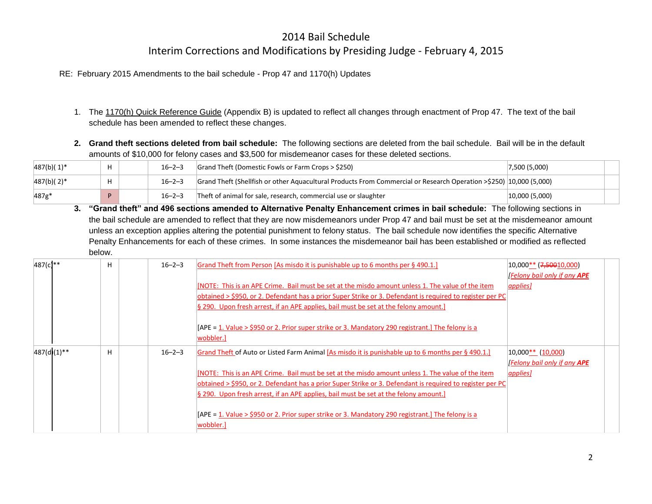RE: February 2015 Amendments to the bail schedule - Prop 47 and 1170(h) Updates

- 1. The 1170(h) Quick Reference Guide (Appendix B) is updated to reflect all changes through enactment of Prop 47. The text of the bail schedule has been amended to reflect these changes.
- **2. Grand theft sections deleted from bail schedule:** The following sections are deleted from the bail schedule.Bail will be in the default amounts of \$10,000 for felony cases and \$3,500 for misdemeanor cases for these deleted sections.

| $487(b)(1)^*$ |  | $16 - 2 - 3$ | $\vert$ Grand Theft (Domestic Fowls or Farm Crops > \$250)                                                          | 17,500(5,000) |  |
|---------------|--|--------------|---------------------------------------------------------------------------------------------------------------------|---------------|--|
| $ 487(b)(2)*$ |  | $16 - 2 - 3$ | Grand Theft (Shellfish or other Aguacultural Products From Commercial or Research Operation >\$250) [10,000 (5,000) |               |  |
| 487g*         |  | $16 - 2 - 3$ | Theft of animal for sale, research, commercial use or slaughter                                                     | 10,000(5,000) |  |

**3. "Grand theft" and 496 sections amended to Alternative Penalty Enhancement crimes in bail schedule:** The following sections in the bail schedule are amended to reflect that they are now misdemeanors under Prop 47 and bail must be set at the misdemeanor amount unless an exception applies altering the potential punishment to felony status. The bail schedule now identifies the specific Alternative Penalty Enhancements for each of these crimes. In some instances the misdemeanor bail has been established or modified as reflected below.

| 487(c) **   | H | $16 - 2 - 3$ | Grand Theft from Person [As misdo it is punishable up to 6 months per § 490.1.]                                                                                                                                                                                                                          | 10,000** ( <del>7,500</del> 10,000)<br><b>Felony bail only if any APE</b> |
|-------------|---|--------------|----------------------------------------------------------------------------------------------------------------------------------------------------------------------------------------------------------------------------------------------------------------------------------------------------------|---------------------------------------------------------------------------|
|             |   |              | [NOTE: This is an APE Crime. Bail must be set at the misdo amount unless 1. The value of the item<br>obtained > \$950, or 2. Defendant has a prior Super Strike or 3. Defendant is required to register per PC<br>$\S$ 290. Upon fresh arrest, if an APE applies, bail must be set at the felony amount. | <i><u><b>applies]</b></u></i>                                             |
|             |   |              | [APE = 1. Value > \$950 or 2. Prior super strike or 3. Mandatory 290 registrant.] The felony is a<br>wobbler.]                                                                                                                                                                                           |                                                                           |
| 487(d)(1)** | H | $16 - 2 - 3$ | Grand Theft of Auto or Listed Farm Animal [As misdo it is punishable up to 6 months per § 490.1.]                                                                                                                                                                                                        | $ 10,000** 10,000 $<br>[Felony bail only if any <b>APE</b>                |
|             |   |              | [NOTE: This is an APE Crime. Bail must be set at the misdo amount unless 1. The value of the item<br>obtained > \$950, or 2. Defendant has a prior Super Strike or 3. Defendant is required to register per PC                                                                                           | <i>applies]</i>                                                           |
|             |   |              | § 290. Upon fresh arrest, if an APE applies, bail must be set at the felony amount.                                                                                                                                                                                                                      |                                                                           |
|             |   |              | [APE = 1. Value > \$950 or 2. Prior super strike or 3. Mandatory 290 registrant.] The felony is a<br>wobbler.]                                                                                                                                                                                           |                                                                           |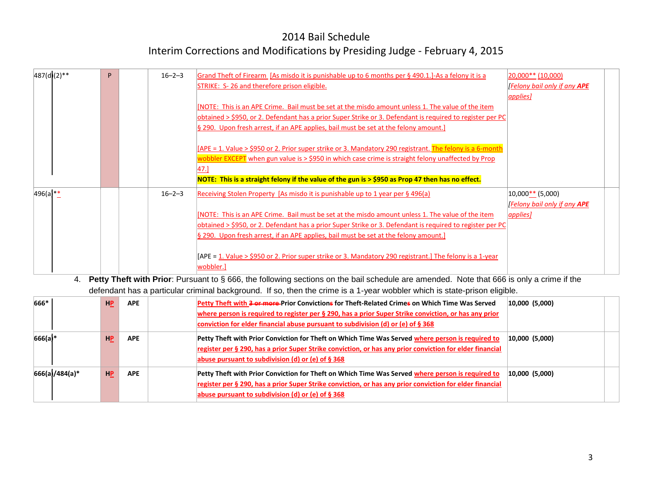| $ 20,000**(10,000) $               |
|------------------------------------|
| <b>Felony bail only if any APE</b> |
| <i><u><b>applies</b></u></i>       |
|                                    |
|                                    |
|                                    |
|                                    |
|                                    |
|                                    |
|                                    |
|                                    |
| $10,000$ ** (5,000)                |
| <b>Felony bail only if any APE</b> |
| <i>applies]</i>                    |
|                                    |
|                                    |
|                                    |
|                                    |
|                                    |
|                                    |

#### 4. **Petty Theft with Prior**: Pursuant to § 666, the following sections on the bail schedule are amended. Note that 666 is only a crime if the defendant has a particular criminal background. If so, then the crime is a 1-year wobbler which is state-prison eligible.

| 666*           | <b>HP</b> | <b>APE</b> | Petty Theft with <del>3 or more</del> -Prior Convictions for Theft-Related Crimes on Which Time Was Served<br>where person is required to register per § 290, has a prior Super Strike conviction, or has any prior<br>conviction for elder financial abuse pursuant to subdivision (d) or (e) of $\S$ 368 | $ 10,000 \rangle$ (5,000) |  |
|----------------|-----------|------------|------------------------------------------------------------------------------------------------------------------------------------------------------------------------------------------------------------------------------------------------------------------------------------------------------------|---------------------------|--|
| 666(a)*        | <b>HP</b> | <b>APE</b> | Petty Theft with Prior Conviction for Theft on Which Time Was Served where person is required to<br>register per § 290, has a prior Super Strike conviction, or has any prior conviction for elder financial<br>abuse pursuant to subdivision (d) or (e) of § 368                                          | $ 10,000 \rangle$ (5,000) |  |
| 666(a)/484(a)* | <b>HP</b> | <b>APE</b> | Petty Theft with Prior Conviction for Theft on Which Time Was Served where person is required to<br>register per § 290, has a prior Super Strike conviction, or has any prior conviction for elder financial<br>abuse pursuant to subdivision (d) or (e) of $\S$ 368                                       | $ 10,000 \rangle$ (5,000) |  |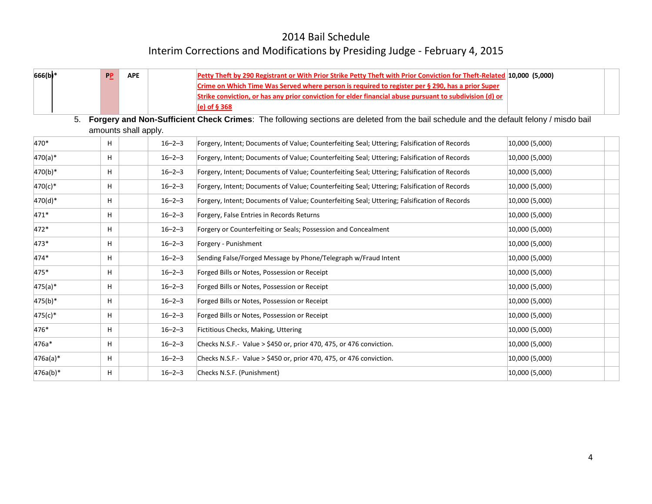| 666(b)*    | $P_{\cdot}$ | <b>APE</b>           |              | Petty Theft by 290 Registrant or With Prior Strike Petty Theft with Prior Conviction for Theft-Related 10,000 (5,000)                  |                |  |
|------------|-------------|----------------------|--------------|----------------------------------------------------------------------------------------------------------------------------------------|----------------|--|
|            |             |                      |              | Crime on Which Time Was Served where person is required to register per § 290, has a prior Super                                       |                |  |
|            |             |                      |              | Strike conviction, or has any prior conviction for elder financial abuse pursuant to subdivision (d) or                                |                |  |
|            |             |                      |              | (e) of § 368                                                                                                                           |                |  |
| 5.         |             | amounts shall apply. |              | Forgery and Non-Sufficient Check Crimes: The following sections are deleted from the bail schedule and the default felony / misdo bail |                |  |
| $470*$     | H.          |                      | $16 - 2 - 3$ | Forgery, Intent; Documents of Value; Counterfeiting Seal; Uttering; Falsification of Records                                           | 10,000(5,000)  |  |
| $470(a)*$  | H.          |                      | $16 - 2 - 3$ | Forgery, Intent; Documents of Value; Counterfeiting Seal; Uttering; Falsification of Records                                           | 10,000 (5,000) |  |
| $470(b)*$  | H.          |                      | $16 - 2 - 3$ | Forgery, Intent; Documents of Value; Counterfeiting Seal; Uttering; Falsification of Records                                           | 10,000 (5,000) |  |
| $470(c)*$  | H.          |                      | $16 - 2 - 3$ | Forgery, Intent; Documents of Value; Counterfeiting Seal; Uttering; Falsification of Records                                           | 10,000 (5,000) |  |
| 470(d)*    | H.          |                      | $16 - 2 - 3$ | Forgery, Intent; Documents of Value; Counterfeiting Seal; Uttering; Falsification of Records                                           | 10,000 (5,000) |  |
| 471*       | H           |                      | $16 - 2 - 3$ | Forgery, False Entries in Records Returns                                                                                              | 10,000 (5,000) |  |
| 472*       | H.          |                      | $16 - 2 - 3$ | Forgery or Counterfeiting or Seals; Possession and Concealment                                                                         | 10,000 (5,000) |  |
| 473*       | H.          |                      | $16 - 2 - 3$ | Forgery - Punishment                                                                                                                   | 10,000 (5,000) |  |
| $474*$     | H.          |                      | $16 - 2 - 3$ | Sending False/Forged Message by Phone/Telegraph w/Fraud Intent                                                                         | 10,000 (5,000) |  |
| 475*       | H.          |                      | $16 - 2 - 3$ | Forged Bills or Notes, Possession or Receipt                                                                                           | 10,000 (5,000) |  |
| $ 475(a)*$ | H           |                      | $16 - 2 - 3$ | Forged Bills or Notes, Possession or Receipt                                                                                           | 10,000 (5,000) |  |
| $475(b)*$  | H.          |                      | $16 - 2 - 3$ | Forged Bills or Notes, Possession or Receipt                                                                                           | 10,000 (5,000) |  |
| $475(c)*$  | H.          |                      | $16 - 2 - 3$ | Forged Bills or Notes, Possession or Receipt                                                                                           | 10,000 (5,000) |  |
| 476*       | H           |                      | $16 - 2 - 3$ | Fictitious Checks, Making, Uttering                                                                                                    | 10,000 (5,000) |  |
| 476a*      | H           |                      | $16 - 2 - 3$ | Checks N.S.F.- Value > \$450 or, prior 470, 475, or 476 conviction.                                                                    | 10,000 (5,000) |  |
| 476a(a)*   | H.          |                      | $16 - 2 - 3$ | Checks N.S.F.- Value > \$450 or, prior 470, 475, or 476 conviction.                                                                    | 10,000 (5,000) |  |
| $476a(b)*$ | H.          |                      | $16 - 2 - 3$ | Checks N.S.F. (Punishment)                                                                                                             | 10,000 (5,000) |  |